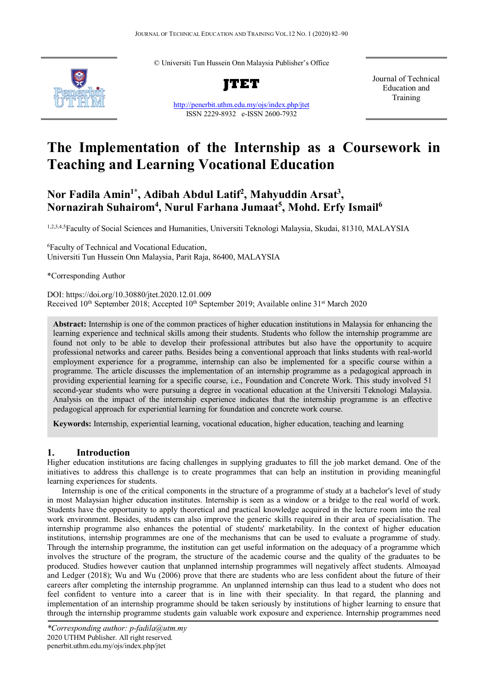© Universiti Tun Hussein Onn Malaysia Publisher's Office



**JTET**

<http://penerbit.uthm.edu.my/ojs/index.php/jtet> ISSN 2229-8932 e-ISSN 2600-7932

Journal of Technical Education and Training

# **The Implementation of the Internship as a Coursework in Teaching and Learning Vocational Education**

## **Nor Fadila Amin1\* , Adibah Abdul Latif2 , Mahyuddin Arsat3 , Nornazirah Suhairom4 , Nurul Farhana Jumaat5 , Mohd. Erfy Ismail6**

1,2,3,4,5Faculty of Social Sciences and Humanities, Universiti Teknologi Malaysia, Skudai, 81310, MALAYSIA

6 Faculty of Technical and Vocational Education, Universiti Tun Hussein Onn Malaysia, Parit Raja, 86400, MALAYSIA

\*Corresponding Author

DOI: https://doi.org/10.30880/jtet.2020.12.01.009 Received 10<sup>th</sup> September 2018; Accepted 10<sup>th</sup> September 2019; Available online 31<sup>st</sup> March 2020

**Abstract:** Internship is one of the common practices of higher education institutions in Malaysia for enhancing the learning experience and technical skills among their students. Students who follow the internship programme are found not only to be able to develop their professional attributes but also have the opportunity to acquire professional networks and career paths. Besides being a conventional approach that links students with real-world employment experience for a programme, internship can also be implemented for a specific course within a programme. The article discusses the implementation of an internship programme as a pedagogical approach in providing experiential learning for a specific course, i.e., Foundation and Concrete Work. This study involved 51 second-year students who were pursuing a degree in vocational education at the Universiti Teknologi Malaysia. Analysis on the impact of the internship experience indicates that the internship programme is an effective pedagogical approach for experiential learning for foundation and concrete work course.

**Keywords:** Internship, experiential learning, vocational education, higher education, teaching and learning

#### **1. Introduction**

Higher education institutions are facing challenges in supplying graduates to fill the job market demand. One of the initiatives to address this challenge is to create programmes that can help an institution in providing meaningful learning experiences for students.

Internship is one of the critical components in the structure of a programme of study at a bachelor's level of study in most Malaysian higher education institutes. Internship is seen as a window or a bridge to the real world of work. Students have the opportunity to apply theoretical and practical knowledge acquired in the lecture room into the real work environment. Besides, students can also improve the generic skills required in their area of specialisation. The internship programme also enhances the potential of students' marketability. In the context of higher education institutions, internship programmes are one of the mechanisms that can be used to evaluate a programme of study. Through the internship programme, the institution can get useful information on the adequacy of a programme which involves the structure of the program, the structure of the academic course and the quality of the graduates to be produced. Studies however caution that unplanned internship programmes will negatively affect students. Almoayad and Ledger (2018); Wu and Wu (2006) prove that there are students who are less confident about the future of their careers after completing the internship programme. An unplanned internship can thus lead to a student who does not feel confident to venture into a career that is in line with their speciality. In that regard, the planning and implementation of an internship programme should be taken seriously by institutions of higher learning to ensure that through the internship programme students gain valuable work exposure and experience. Internship programmes need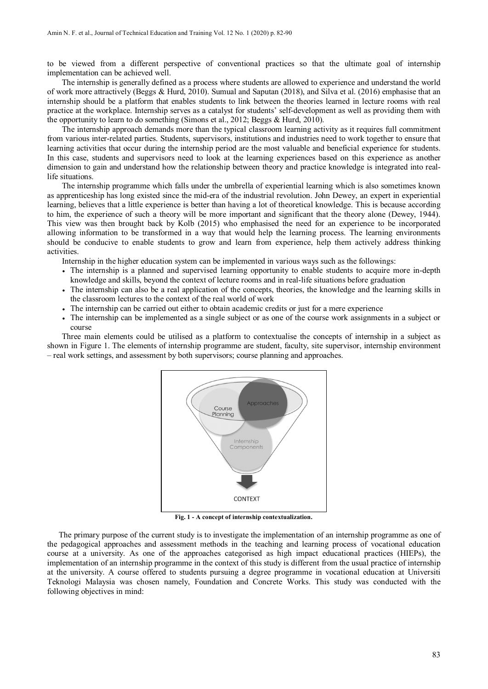to be viewed from a different perspective of conventional practices so that the ultimate goal of internship implementation can be achieved well.

The internship is generally defined as a process where students are allowed to experience and understand the world of work more attractively (Beggs & Hurd, 2010). Sumual and Saputan (2018), and Silva et al. (2016) emphasise that an internship should be a platform that enables students to link between the theories learned in lecture rooms with real practice at the workplace. Internship serves as a catalyst for students' self-development as well as providing them with the opportunity to learn to do something (Simons et al., 2012; Beggs & Hurd, 2010).

The internship approach demands more than the typical classroom learning activity as it requires full commitment from various inter-related parties. Students, supervisors, institutions and industries need to work together to ensure that learning activities that occur during the internship period are the most valuable and beneficial experience for students. In this case, students and supervisors need to look at the learning experiences based on this experience as another dimension to gain and understand how the relationship between theory and practice knowledge is integrated into reallife situations.

The internship programme which falls under the umbrella of experiential learning which is also sometimes known as apprenticeship has long existed since the mid-era of the industrial revolution. John Dewey, an expert in experiential learning, believes that a little experience is better than having a lot of theoretical knowledge. This is because according to him, the experience of such a theory will be more important and significant that the theory alone (Dewey, 1944). This view was then brought back by Kolb (2015) who emphasised the need for an experience to be incorporated allowing information to be transformed in a way that would help the learning process. The learning environments should be conducive to enable students to grow and learn from experience, help them actively address thinking activities.

Internship in the higher education system can be implemented in various ways such as the followings:

- The internship is a planned and supervised learning opportunity to enable students to acquire more in-depth knowledge and skills, beyond the context of lecture rooms and in real-life situations before graduation
- The internship can also be a real application of the concepts, theories, the knowledge and the learning skills in the classroom lectures to the context of the real world of work
- The internship can be carried out either to obtain academic credits or just for a mere experience
- The internship can be implemented as a single subject or as one of the course work assignments in a subject or course

Three main elements could be utilised as a platform to contextualise the concepts of internship in a subject as shown in Figure 1. The elements of internship programme are student, faculty, site supervisor, internship environment – real work settings, and assessment by both supervisors; course planning and approaches.



**Fig. 1 - A concept of internship contextualization.**

The primary purpose of the current study is to investigate the implementation of an internship programme as one of the pedagogical approaches and assessment methods in the teaching and learning process of vocational education course at a university. As one of the approaches categorised as high impact educational practices (HIEPs), the implementation of an internship programme in the context of this study is different from the usual practice of internship at the university. A course offered to students pursuing a degree programme in vocational education at Universiti Teknologi Malaysia was chosen namely, Foundation and Concrete Works. This study was conducted with the following objectives in mind: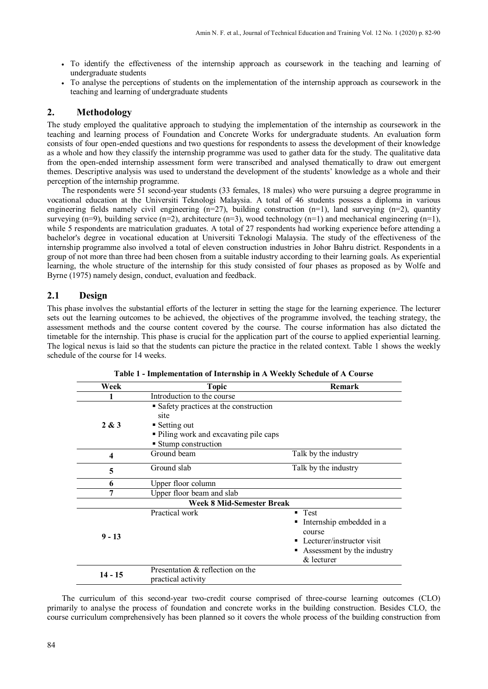- To identify the effectiveness of the internship approach as coursework in the teaching and learning of undergraduate students
- To analyse the perceptions of students on the implementation of the internship approach as coursework in the teaching and learning of undergraduate students

## **2. Methodology**

The study employed the qualitative approach to studying the implementation of the internship as coursework in the teaching and learning process of Foundation and Concrete Works for undergraduate students. An evaluation form consists of four open-ended questions and two questions for respondents to assess the development of their knowledge as a whole and how they classify the internship programme was used to gather data for the study. The qualitative data from the open-ended internship assessment form were transcribed and analysed thematically to draw out emergent themes. Descriptive analysis was used to understand the development of the students' knowledge as a whole and their perception of the internship programme.

The respondents were 51 second-year students (33 females, 18 males) who were pursuing a degree programme in vocational education at the Universiti Teknologi Malaysia. A total of 46 students possess a diploma in various engineering fields namely civil engineering  $(n=27)$ , building construction  $(n=1)$ , land surveying  $(n=2)$ , quantity surveying (n=9), building service (n=2), architecture (n=3), wood technology (n=1) and mechanical engineering (n=1), while 5 respondents are matriculation graduates. A total of 27 respondents had working experience before attending a bachelor's degree in vocational education at Universiti Teknologi Malaysia. The study of the effectiveness of the internship programme also involved a total of eleven construction industries in Johor Bahru district. Respondents in a group of not more than three had been chosen from a suitable industry according to their learning goals. As experiential learning, the whole structure of the internship for this study consisted of four phases as proposed as by Wolfe and Byrne (1975) namely design, conduct, evaluation and feedback.

## **2.1 Design**

This phase involves the substantial efforts of the lecturer in setting the stage for the learning experience. The lecturer sets out the learning outcomes to be achieved, the objectives of the programme involved, the teaching strategy, the assessment methods and the course content covered by the course. The course information has also dictated the timetable for the internship. This phase is crucial for the application part of the course to applied experiential learning. The logical nexus is laid so that the students can picture the practice in the related context. Table 1 shows the weekly schedule of the course for 14 weeks.

| Week      | <b>Topic</b>                                                                                                           | Remark                                                                                                                |  |
|-----------|------------------------------------------------------------------------------------------------------------------------|-----------------------------------------------------------------------------------------------------------------------|--|
|           | Introduction to the course                                                                                             |                                                                                                                       |  |
| 2 & 3     | • Safety practices at the construction<br>site<br>$\blacksquare$ Setting out<br>• Piling work and excavating pile caps |                                                                                                                       |  |
|           | ■ Stump construction                                                                                                   |                                                                                                                       |  |
| 4         | Ground beam                                                                                                            | Talk by the industry                                                                                                  |  |
| 5         | Ground slab                                                                                                            | Talk by the industry                                                                                                  |  |
| 6         | Upper floor column                                                                                                     |                                                                                                                       |  |
|           | Upper floor beam and slab                                                                                              |                                                                                                                       |  |
|           | <b>Week 8 Mid-Semester Break</b>                                                                                       |                                                                                                                       |  |
| $9 - 13$  | Practical work                                                                                                         | Test<br>Internship embedded in a<br>course<br>• Lecturer/instructor visit<br>Assessment by the industry<br>& lecturer |  |
| $14 - 15$ | Presentation & reflection on the<br>practical activity                                                                 |                                                                                                                       |  |

**Table 1 - Implementation of Internship in A Weekly Schedule of A Course**

The curriculum of this second-year two-credit course comprised of three-course learning outcomes (CLO) primarily to analyse the process of foundation and concrete works in the building construction. Besides CLO, the course curriculum comprehensively has been planned so it covers the whole process of the building construction from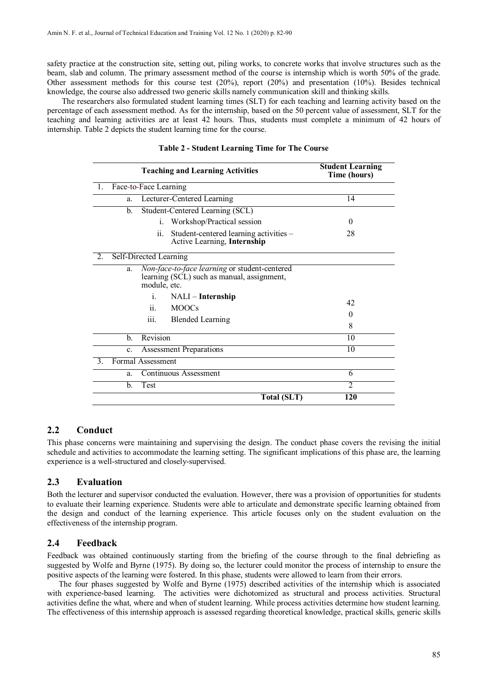safety practice at the construction site, setting out, piling works, to concrete works that involve structures such as the beam, slab and column. The primary assessment method of the course is internship which is worth 50% of the grade. Other assessment methods for this course test  $(20\%)$ , report  $(20\%)$  and presentation  $(10\%)$ . Besides technical knowledge, the course also addressed two generic skills namely communication skill and thinking skills.

The researchers also formulated student learning times (SLT) for each teaching and learning activity based on the percentage of each assessment method. As for the internship, based on the 50 percent value of assessment, SLT for the teaching and learning activities are at least 42 hours. Thus, students must complete a minimum of 42 hours of internship. Table 2 depicts the student learning time for the course.

| <b>Teaching and Learning Activities</b> |                                |                                                                                             | <b>Student Learning</b><br>Time (hours) |
|-----------------------------------------|--------------------------------|---------------------------------------------------------------------------------------------|-----------------------------------------|
| -1.                                     | Face-to-Face Learning          |                                                                                             |                                         |
| a.                                      |                                | Lecturer-Centered Learning                                                                  | 14                                      |
| b.                                      |                                | Student-Centered Learning (SCL)                                                             |                                         |
|                                         |                                | i. Workshop/Practical session                                                               | $\Omega$                                |
|                                         | ii.                            | Student-centered learning activities -<br>Active Learning, Internship                       | 28                                      |
| 2.                                      | Self-Directed Learning         |                                                                                             |                                         |
| a.                                      | module, etc.                   | Non-face-to-face learning or student-centered<br>learning (SCL) such as manual, assignment, |                                         |
|                                         | i.                             | NALI – Internship                                                                           | 42                                      |
|                                         | $\overline{11}$ .              | <b>MOOCs</b>                                                                                | $\mathbf{0}$                            |
|                                         | iii.                           | <b>Blended Learning</b>                                                                     | 8                                       |
| b.                                      | Revision                       |                                                                                             | 10                                      |
| C <sub>1</sub>                          | <b>Assessment Preparations</b> |                                                                                             | 10                                      |
| 3.                                      | Formal Assessment              |                                                                                             |                                         |
| a.                                      | Continuous Assessment          |                                                                                             | 6                                       |
| b.                                      | Test                           |                                                                                             | $\overline{\mathcal{L}}$                |
|                                         |                                | Total (SLT)                                                                                 | 120                                     |

#### **Table 2 - Student Learning Time for The Course**

## **2.2 Conduct**

This phase concerns were maintaining and supervising the design. The conduct phase covers the revising the initial schedule and activities to accommodate the learning setting. The significant implications of this phase are, the learning experience is a well-structured and closely-supervised.

#### **2.3 Evaluation**

Both the lecturer and supervisor conducted the evaluation. However, there was a provision of opportunities for students to evaluate their learning experience. Students were able to articulate and demonstrate specific learning obtained from the design and conduct of the learning experience. This article focuses only on the student evaluation on the effectiveness of the internship program.

#### **2.4 Feedback**

Feedback was obtained continuously starting from the briefing of the course through to the final debriefing as suggested by Wolfe and Byrne (1975). By doing so, the lecturer could monitor the process of internship to ensure the positive aspects of the learning were fostered. In this phase, students were allowed to learn from their errors.

The four phases suggested by Wolfe and Byrne (1975) described activities of the internship which is associated with experience-based learning. The activities were dichotomized as structural and process activities. Structural activities define the what, where and when of student learning. While process activities determine how student learning. The effectiveness of this internship approach is assessed regarding theoretical knowledge, practical skills, generic skills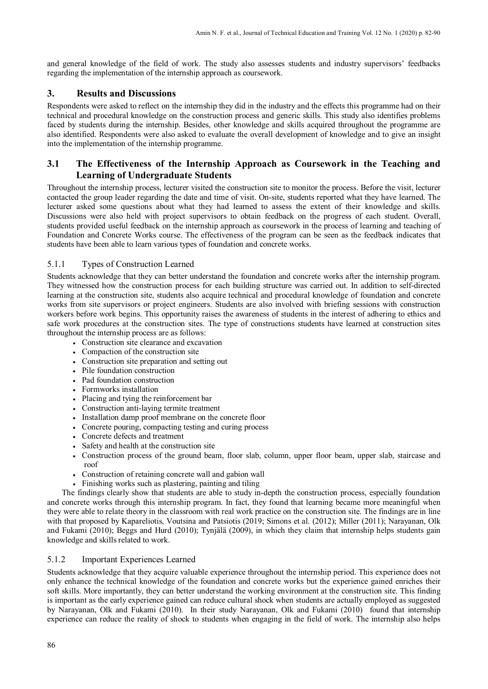and general knowledge of the field of work. The study also assesses students and industry supervisors' feedbacks regarding the implementation of the internship approach as coursework.

## **3. Results and Discussions**

Respondents were asked to reflect on the internship they did in the industry and the effects this programme had on their technical and procedural knowledge on the construction process and generic skills. This study also identifies problems faced by students during the internship. Besides, other knowledge and skills acquired throughout the programme are also identified. Respondents were also asked to evaluate the overall development of knowledge and to give an insight into the implementation of the internship programme.

## **3.1 The Effectiveness of the Internship Approach as Coursework in the Teaching and Learning of Undergraduate Students**

Throughout the internship process, lecturer visited the construction site to monitor the process. Before the visit, lecturer contacted the group leader regarding the date and time of visit. On-site, students reported what they have learned. The lecturer asked some questions about what they had learned to assess the extent of their knowledge and skills. Discussions were also held with project supervisors to obtain feedback on the progress of each student. Overall, students provided useful feedback on the internship approach as coursework in the process of learning and teaching of Foundation and Concrete Works course. The effectiveness of the program can be seen as the feedback indicates that students have been able to learn various types of foundation and concrete works.

## 5.1.1 Types of Construction Learned

Students acknowledge that they can better understand the foundation and concrete works after the internship program. They witnessed how the construction process for each building structure was carried out. In addition to self-directed learning at the construction site, students also acquire technical and procedural knowledge of foundation and concrete works from site supervisors or project engineers. Students are also involved with briefing sessions with construction workers before work begins. This opportunity raises the awareness of students in the interest of adhering to ethics and safe work procedures at the construction sites. The type of constructions students have learned at construction sites throughout the internship process are as follows:

- Construction site clearance and excavation
- Compaction of the construction site
- Construction site preparation and setting out
- Pile foundation construction
- Pad foundation construction
- Formworks installation
- Placing and tying the reinforcement bar
- Construction anti-laying termite treatment
- Installation damp proof membrane on the concrete floor
- Concrete pouring, compacting testing and curing process
- Concrete defects and treatment
- Safety and health at the construction site
- Construction process of the ground beam, floor slab, column, upper floor beam, upper slab, staircase and roof
- Construction of retaining concrete wall and gabion wall
- Finishing works such as plastering, painting and tiling

The findings clearly show that students are able to study in-depth the construction process, especially foundation and concrete works through this internship program. In fact, they found that learning became more meaningful when they were able to relate theory in the classroom with real work practice on the construction site. The findings are in line with that proposed by Kapareliotis, Voutsina and Patsiotis (2019; Simons et al. (2012); Miller (2011); Narayanan, Olk and Fukami (2010); Beggs and Hurd (2010); Tynjälä (2009), in which they claim that internship helps students gain knowledge and skills related to work.

### 5.1.2 Important Experiences Learned

Students acknowledge that they acquire valuable experience throughout the internship period. This experience does not only enhance the technical knowledge of the foundation and concrete works but the experience gained enriches their soft skills. More importantly, they can better understand the working environment at the construction site. This finding is important as the early experience gained can reduce cultural shock when students are actually employed as suggested by Narayanan, Olk and Fukami (2010). In their study Narayanan, Olk and Fukami (2010) found that internship experience can reduce the reality of shock to students when engaging in the field of work. The internship also helps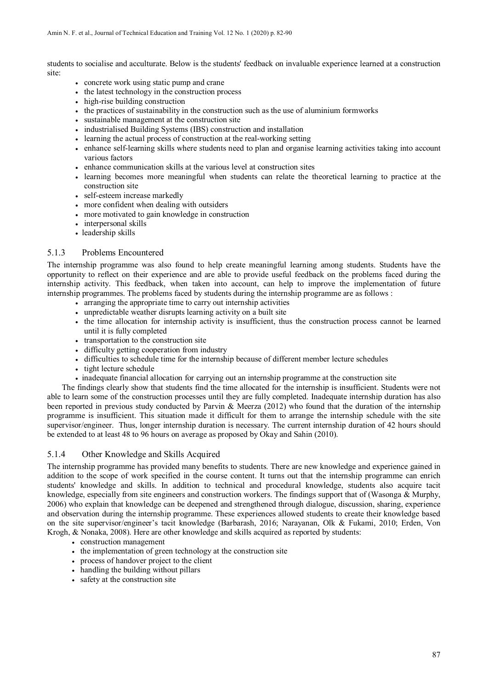students to socialise and acculturate. Below is the students' feedback on invaluable experience learned at a construction site:

- concrete work using static pump and crane
- the latest technology in the construction process
- high-rise building construction
- the practices of sustainability in the construction such as the use of aluminium formworks
- sustainable management at the construction site
- industrialised Building Systems (IBS) construction and installation
- learning the actual process of construction at the real-working setting
- enhance self-learning skills where students need to plan and organise learning activities taking into account various factors
- enhance communication skills at the various level at construction sites
- learning becomes more meaningful when students can relate the theoretical learning to practice at the construction site
- self-esteem increase markedly
- more confident when dealing with outsiders
- more motivated to gain knowledge in construction
- interpersonal skills
- leadership skills

### 5.1.3 Problems Encountered

The internship programme was also found to help create meaningful learning among students. Students have the opportunity to reflect on their experience and are able to provide useful feedback on the problems faced during the internship activity. This feedback, when taken into account, can help to improve the implementation of future internship programmes. The problems faced by students during the internship programme are as follows :

- arranging the appropriate time to carry out internship activities
- unpredictable weather disrupts learning activity on a built site
- the time allocation for internship activity is insufficient, thus the construction process cannot be learned until it is fully completed
- transportation to the construction site
- difficulty getting cooperation from industry
- difficulties to schedule time for the internship because of different member lecture schedules
- tight lecture schedule
- inadequate financial allocation for carrying out an internship programme at the construction site

The findings clearly show that students find the time allocated for the internship is insufficient. Students were not able to learn some of the construction processes until they are fully completed. Inadequate internship duration has also been reported in previous study conducted by Parvin & Meerza (2012) who found that the duration of the internship programme is insufficient. This situation made it difficult for them to arrange the internship schedule with the site supervisor/engineer. Thus, longer internship duration is necessary. The current internship duration of 42 hours should be extended to at least 48 to 96 hours on average as proposed by Okay and Sahin (2010).

### 5.1.4 Other Knowledge and Skills Acquired

The internship programme has provided many benefits to students. There are new knowledge and experience gained in addition to the scope of work specified in the course content. It turns out that the internship programme can enrich students' knowledge and skills. In addition to technical and procedural knowledge, students also acquire tacit knowledge, especially from site engineers and construction workers. The findings support that of (Wasonga & Murphy, 2006) who explain that knowledge can be deepened and strengthened through dialogue, discussion, sharing, experience and observation during the internship programme. These experiences allowed students to create their knowledge based on the site supervisor/engineer's tacit knowledge (Barbarash, 2016; Narayanan, Olk & Fukami, 2010; Erden, Von Krogh, & Nonaka, 2008). Here are other knowledge and skills acquired as reported by students:

- construction management
- the implementation of green technology at the construction site
- process of handover project to the client
- handling the building without pillars
- safety at the construction site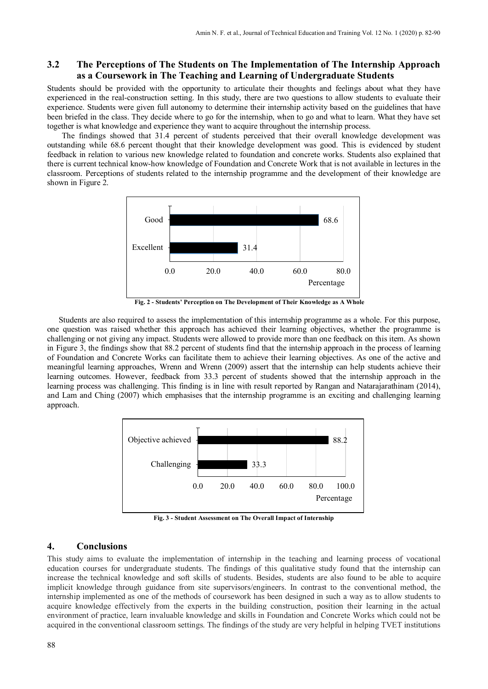### **3.2 The Perceptions of The Students on The Implementation of The Internship Approach as a Coursework in The Teaching and Learning of Undergraduate Students**

Students should be provided with the opportunity to articulate their thoughts and feelings about what they have experienced in the real-construction setting. In this study, there are two questions to allow students to evaluate their experience. Students were given full autonomy to determine their internship activity based on the guidelines that have been briefed in the class. They decide where to go for the internship, when to go and what to learn. What they have set together is what knowledge and experience they want to acquire throughout the internship process.

The findings showed that 31.4 percent of students perceived that their overall knowledge development was outstanding while 68.6 percent thought that their knowledge development was good. This is evidenced by student feedback in relation to various new knowledge related to foundation and concrete works. Students also explained that there is current technical know-how knowledge of Foundation and Concrete Work that is not available in lectures in the classroom. Perceptions of students related to the internship programme and the development of their knowledge are shown in Figure 2.



**Fig. 2 - Students' Perception on The Development of Their Knowledge as A Whole**

Students are also required to assess the implementation of this internship programme as a whole. For this purpose, one question was raised whether this approach has achieved their learning objectives, whether the programme is challenging or not giving any impact. Students were allowed to provide more than one feedback on this item. As shown in Figure 3, the findings show that 88.2 percent of students find that the internship approach in the process of learning of Foundation and Concrete Works can facilitate them to achieve their learning objectives. As one of the active and meaningful learning approaches, Wrenn and Wrenn (2009) assert that the internship can help students achieve their learning outcomes. However, feedback from 33.3 percent of students showed that the internship approach in the learning process was challenging. This finding is in line with result reported by Rangan and Natarajarathinam (2014), and Lam and Ching (2007) which emphasises that the internship programme is an exciting and challenging learning approach.



**Fig. 3 - Student Assessment on The Overall Impact of Internship**

#### **4. Conclusions**

This study aims to evaluate the implementation of internship in the teaching and learning process of vocational education courses for undergraduate students. The findings of this qualitative study found that the internship can increase the technical knowledge and soft skills of students. Besides, students are also found to be able to acquire implicit knowledge through guidance from site supervisors/engineers. In contrast to the conventional method, the internship implemented as one of the methods of coursework has been designed in such a way as to allow students to acquire knowledge effectively from the experts in the building construction, position their learning in the actual environment of practice, learn invaluable knowledge and skills in Foundation and Concrete Works which could not be acquired in the conventional classroom settings. The findings of the study are very helpful in helping TVET institutions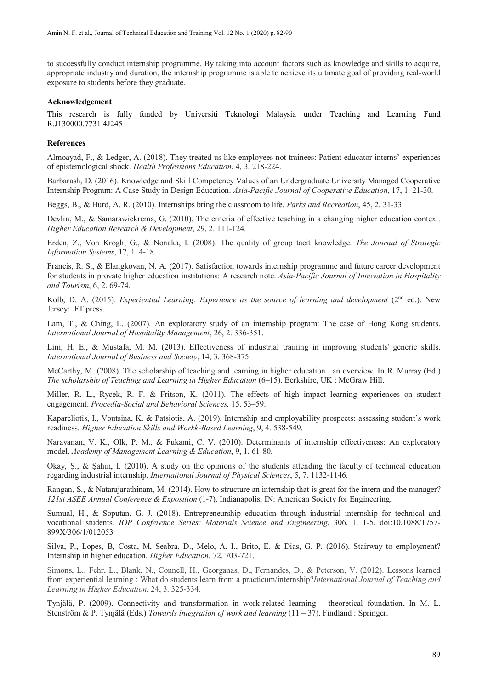to successfully conduct internship programme. By taking into account factors such as knowledge and skills to acquire, appropriate industry and duration, the internship programme is able to achieve its ultimate goal of providing real-world exposure to students before they graduate.

#### **Acknowledgement**

This research is fully funded by Universiti Teknologi Malaysia under Teaching and Learning Fund R.J130000.7731.4J245

#### **References**

Almoayad, F., & Ledger, A. (2018). They treated us like employees not trainees: Patient educator interns' experiences of epistemological shock. *Health Professions Education*, 4, 3. 218-224.

Barbarash, D. (2016). Knowledge and Skill Competency Values of an Undergraduate University Managed Cooperative Internship Program: A Case Study in Design Education. *Asia-Pacific Journal of Cooperative Education*, 17, 1. 21-30.

Beggs, B., & Hurd, A. R. (2010). Internships bring the classroom to life. *Parks and Recreation*, 45, 2. 31-33.

Devlin, M., & Samarawickrema, G. (2010). The criteria of effective teaching in a changing higher education context. *Higher Education Research & Development*, 29, 2. 111-124.

Erden, Z., Von Krogh, G., & Nonaka, I. (2008). The quality of group tacit knowledge. *The Journal of Strategic Information Systems*, 17, 1. 4-18.

Francis, R. S., & Elangkovan, N. A. (2017). Satisfaction towards internship programme and future career development for students in provate higher education institutions: A research note. *Asia-Pacific Journal of Innovation in Hospitality and Tourism*, 6, 2. 69-74.

Kolb, D. A. (2015). *Experiential Learning: Experience as the source of learning and development* (2nd ed.). New Jersey: FT press.

Lam, T., & Ching, L. (2007). An exploratory study of an internship program: The case of Hong Kong students. *International Journal of Hospitality Management*, 26, 2. 336-351.

Lim, H. E., & Mustafa, M. M. (2013). Effectiveness of industrial training in improving students' generic skills. *International Journal of Business and Society*, 14, 3. 368-375.

McCarthy, M. (2008). The scholarship of teaching and learning in higher education : an overview. In R. Murray (Ed.) *The scholarship of Teaching and Learning in Higher Education* (6–15). Berkshire, UK : McGraw Hill.

Miller, R. L., Rycek, R. F. & Fritson, K. (2011). The effects of high impact learning experiences on student engagement. *Procedia-Social and Behavioral Sciences,* 15. 53–59.

Kapareliotis, I., Voutsina, K. & Patsiotis, A. (2019). Internship and employability prospects: assessing student's work readiness. *Higher Education Skills and Workk-Based Learning*, 9, 4. 538-549.

Narayanan, V. K., Olk, P. M., & Fukami, C. V. (2010). Determinants of internship effectiveness: An exploratory model. *Academy of Management Learning & Education*, 9, 1. 61-80.

Okay, Ş., & Şahin, I. (2010). A study on the opinions of the students attending the faculty of technical education regarding industrial internship. *International Journal of Physical Sciences*, 5, 7. 1132-1146.

Rangan, S., & Natarajarathinam, M. (2014). How to structure an internship that is great for the intern and the manager? *121st ASEE Annual Conference & Exposition* (1-7). Indianapolis, IN: American Society for Engineering.

Sumual, H., & Soputan, G. J. (2018). Entrepreneurship education through industrial internship for technical and vocational students. *IOP Conference Series: Materials Science and Engineering*, 306, 1. 1-5. doi:10.1088/1757- 899X/306/1/012053

Silva, P., Lopes, B, Costa, M, Seabra, D., Melo, A. I., Brito, E. & Dias, G. P. (2016). Stairway to employment? Internship in higher education. *Higher Education*, 72. 703-721.

Simons, L., Fehr, L., Blank, N., Connell, H., Georganas, D., Fernandes, D., & Peterson, V. (2012). Lessons learned from experiential learning : What do students learn from a practicum/internship?*International Journal of Teaching and Learning in Higher Education*, 24, 3. 325-334.

Tynjälä, P. (2009). Connectivity and transformation in work-related learning – theoretical foundation. In M. L. Stenström & P. Tynjälä (Eds.) *Towards integration of work and learning* (11 – 37). Findland : Springer.